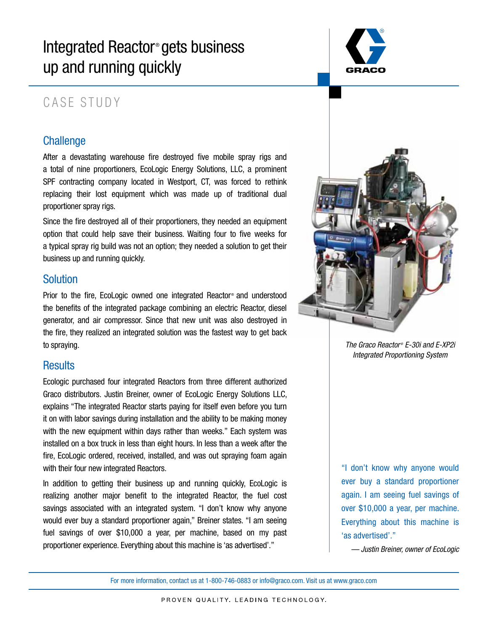# Integrated Reactor<sup>®</sup> gets business up and running quickly



## CASE STUDY

### **Challenge**

After a devastating warehouse fire destroyed five mobile spray rigs and a total of nine proportioners, EcoLogic Energy Solutions, LLC, a prominent SPF contracting company located in Westport, CT, was forced to rethink replacing their lost equipment which was made up of traditional dual proportioner spray rigs.

Since the fire destroyed all of their proportioners, they needed an equipment option that could help save their business. Waiting four to five weeks for a typical spray rig build was not an option; they needed a solution to get their business up and running quickly.

#### **Solution**

Prior to the fire, EcoLogic owned one integrated Reactor® and understood the benefits of the integrated package combining an electric Reactor, diesel generator, and air compressor. Since that new unit was also destroyed in the fire, they realized an integrated solution was the fastest way to get back to spraying.

#### **Results**

Ecologic purchased four integrated Reactors from three different authorized Graco distributors. Justin Breiner, owner of EcoLogic Energy Solutions LLC, explains "The integrated Reactor starts paying for itself even before you turn it on with labor savings during installation and the ability to be making money with the new equipment within days rather than weeks." Each system was installed on a box truck in less than eight hours. In less than a week after the fire, EcoLogic ordered, received, installed, and was out spraying foam again with their four new integrated Reactors.

In addition to getting their business up and running quickly, EcoLogic is realizing another major benefit to the integrated Reactor, the fuel cost savings associated with an integrated system. "I don't know why anyone would ever buy a standard proportioner again," Breiner states. "I am seeing fuel savings of over \$10,000 a year, per machine, based on my past proportioner experience. Everything about this machine is 'as advertised'."



*The Graco Reactor ® E-30i and E-XP2i Integrated Proportioning System*

"I don't know why anyone would ever buy a standard proportioner again. I am seeing fuel savings of over \$10,000 a year, per machine. Everything about this machine is 'as advertised'."

*— Justin Breiner, owner of EcoLogic*